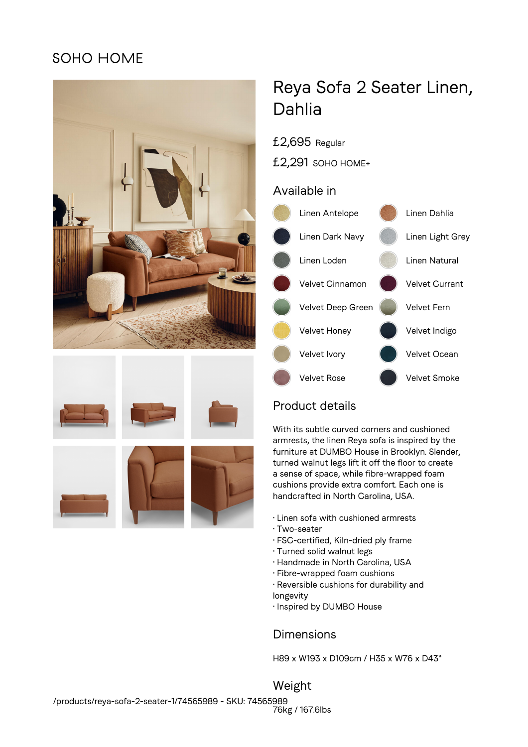# SOHO HOME







# Reya Sofa 2 Seater Linen, Dahlia

#### £2,695 Regular

£2,291 SOHO HOME+

#### Available in



## Product details

With its subtle curved corners and cushioned armrests, the linen Reya sofa is inspired by the furniture at DUMBO House in Brooklyn. Slender, turned walnut legs lift it off the floor to create a sense of space, while fibre-wrapped foam cushions provide extra comfort. Each one is handcrafted in North Carolina, USA.

- Linen sofa with cushioned armrests
- Two-seater
- FSC-certified, Kiln-dried ply frame
- Turned solid walnut legs
- Handmade in North Carolina, USA
- Fibre-wrapped foam cushions
- Reversible cushions for durability and longevity
- Inspired by DUMBO House

### Dimensions

H89 x W193 x D109cm / H35 x W76 x D43"

Weight 76kg / 167.6lbs /products/reya-sofa-2-seater-1/74565989 - SKU: 74565989